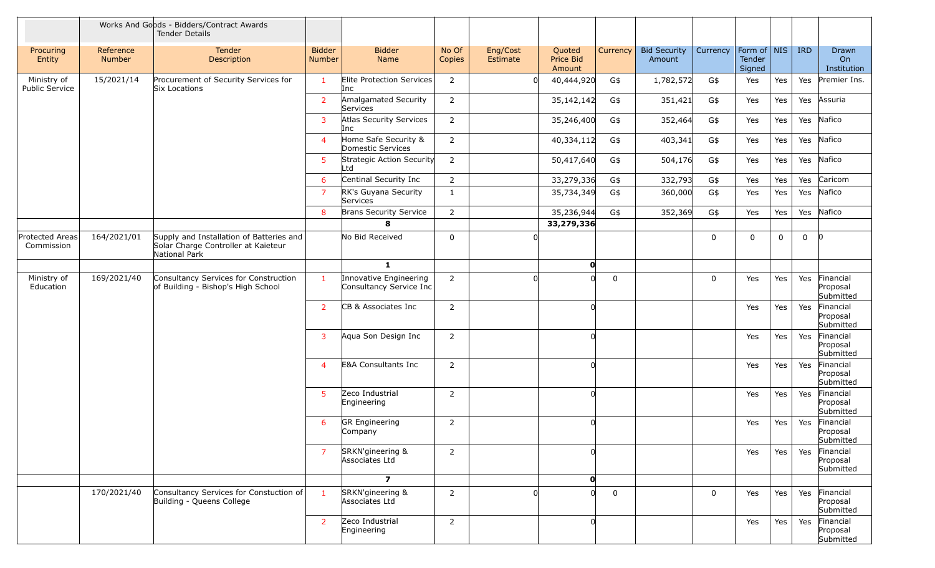|                                      |                     | Works And Goods - Bidders/Contract Awards<br><b>Tender Details</b>                               |                                |                                                   |                 |                      |                               |             |                               |             |                                 |             |             |                                    |
|--------------------------------------|---------------------|--------------------------------------------------------------------------------------------------|--------------------------------|---------------------------------------------------|-----------------|----------------------|-------------------------------|-------------|-------------------------------|-------------|---------------------------------|-------------|-------------|------------------------------------|
| Procuring<br>Entity                  | Reference<br>Number | Tender<br>Description                                                                            | <b>Bidder</b><br><b>Number</b> | <b>Bidder</b><br>Name                             | No Of<br>Copies | Eng/Cost<br>Estimate | Quoted<br>Price Bid<br>Amount | Currency    | <b>Bid Security</b><br>Amount | Currency    | Form of NIS<br>Tender<br>Signed |             | <b>IRD</b>  | Drawn<br>On<br>Institution         |
| Ministry of<br><b>Public Service</b> | 15/2021/14          | Procurement of Security Services for<br>Six Locations                                            | $\mathbf{1}$                   | Elite Protection Services<br>Inc                  | $\overline{2}$  | ΩI                   | 40,444,920                    | G\$         | 1,782,572                     | G\$         | Yes                             | Yes         | Yes         | Premier Ins.                       |
|                                      |                     |                                                                                                  | $\overline{2}$                 | Amalgamated Security<br>Services                  | $\overline{2}$  |                      | 35,142,142                    | G\$         | 351,421                       | G\$         | Yes                             | Yes         | Yes         | Assuria                            |
|                                      |                     |                                                                                                  | 3                              | Atlas Security Services<br>Inc                    | $\overline{2}$  |                      | 35,246,400                    | G\$         | 352,464                       | G\$         | Yes                             | Yes         | Yes         | Nafico                             |
|                                      |                     |                                                                                                  | $\boldsymbol{\Delta}$          | Home Safe Security &<br>Domestic Services         | $\overline{2}$  |                      | 40,334,112                    | G\$         | 403,341                       | G\$         | Yes                             | Yes         | Yes         | Nafico                             |
|                                      |                     |                                                                                                  | 5                              | Strategic Action Security<br>_td                  | $\overline{2}$  |                      | 50,417,640                    | G\$         | 504,176                       | G\$         | Yes                             | Yes         | Yes         | Nafico                             |
|                                      |                     |                                                                                                  | 6                              | Centinal Security Inc                             | $\overline{2}$  |                      | 33,279,336                    | G\$         | 332,793                       | G\$         | Yes                             | Yes         | Yes         | Caricom                            |
|                                      |                     |                                                                                                  | -7                             | RK's Guyana Security<br>Services                  | $\mathbf{1}$    |                      | 35,734,349                    | G\$         | 360,000                       | G\$         | Yes                             | Yes         | Yes         | Nafico                             |
|                                      |                     |                                                                                                  | 8                              | <b>Brans Security Service</b>                     | $\overline{2}$  |                      | 35,236,944                    | G\$         | 352,369                       | G\$         | Yes                             | Yes         | Yes         | Nafico                             |
|                                      |                     |                                                                                                  |                                | 8                                                 |                 |                      | 33,279,336                    |             |                               |             |                                 |             |             |                                    |
| Protected Areas<br>Commission        | 164/2021/01         | Supply and Installation of Batteries and<br>Solar Charge Controller at Kaieteur<br>National Park |                                | No Bid Received                                   | 0               | $\Omega$             |                               |             |                               | $\mathbf 0$ | $\mathbf 0$                     | $\mathbf 0$ | $\mathbf 0$ | $\overline{0}$                     |
|                                      |                     |                                                                                                  |                                | $\mathbf{1}$                                      |                 |                      | $\mathbf 0$                   |             |                               |             |                                 |             |             |                                    |
| Ministry of<br>Education             | 169/2021/40         | Consultancy Services for Construction<br>of Building - Bishop's High School                      | $\mathbf{1}$                   | Innovative Engineering<br>Consultancy Service Inc | $\overline{2}$  |                      | Ωl                            | 0           |                               | $\mathbf 0$ | Yes                             | Yes         | Yes         | Financial<br>Proposal<br>Submitted |
|                                      |                     |                                                                                                  | 2                              | CB & Associates Inc                               | $\overline{2}$  |                      | 0l                            |             |                               |             | Yes                             | Yes         | Yes         | Financial<br>Proposal<br>Submitted |
|                                      |                     |                                                                                                  | 3                              | Aqua Son Design Inc                               | $\overline{2}$  |                      | 0l                            |             |                               |             | Yes                             | Yes         | Yes         | Financial<br>Proposal<br>Submitted |
|                                      |                     |                                                                                                  | $\overline{4}$                 | <b>E&amp;A Consultants Inc</b>                    | $\overline{2}$  |                      | n                             |             |                               |             | Yes                             | Yes         | Yes         | Financial<br>Proposal<br>Submitted |
|                                      |                     |                                                                                                  | 5                              | Zeco Industrial<br>Engineering                    | $\overline{2}$  |                      | Ωl                            |             |                               |             | Yes                             | Yes         | Yes         | Financial<br>Proposal<br>Submitted |
|                                      |                     |                                                                                                  | 6                              | <b>GR</b> Engineering<br>Company                  | $\overline{2}$  |                      | 0l                            |             |                               |             | Yes                             | Yes         | Yes         | Financial<br>Proposal<br>Submitted |
|                                      |                     |                                                                                                  | $\overline{7}$                 | SRKN'gineering &<br>Associates Ltd                | $\overline{2}$  |                      | 0l                            |             |                               |             | Yes                             | Yes         | Yes         | Financial<br>Proposal<br>Submitted |
|                                      |                     |                                                                                                  |                                | $\overline{ }$                                    |                 |                      | $\mathbf 0$                   |             |                               |             |                                 |             |             |                                    |
|                                      | 170/2021/40         | Consultancy Services for Constuction of<br>Building - Queens College                             | $\overline{1}$                 | SRKN'gineering &<br>Associates Ltd                | $\overline{2}$  |                      | <sub>0</sub>                  | $\mathbf 0$ |                               | $\mathbf 0$ | Yes                             | Yes         | Yes         | Financial<br>Proposal<br>Submitted |
|                                      |                     |                                                                                                  | $\overline{2}$                 | Zeco Industrial<br>Engineering                    | $\overline{2}$  |                      | <sub>0</sub>                  |             |                               |             | Yes                             | Yes         | Yes         | Financial<br>Proposal<br>Submitted |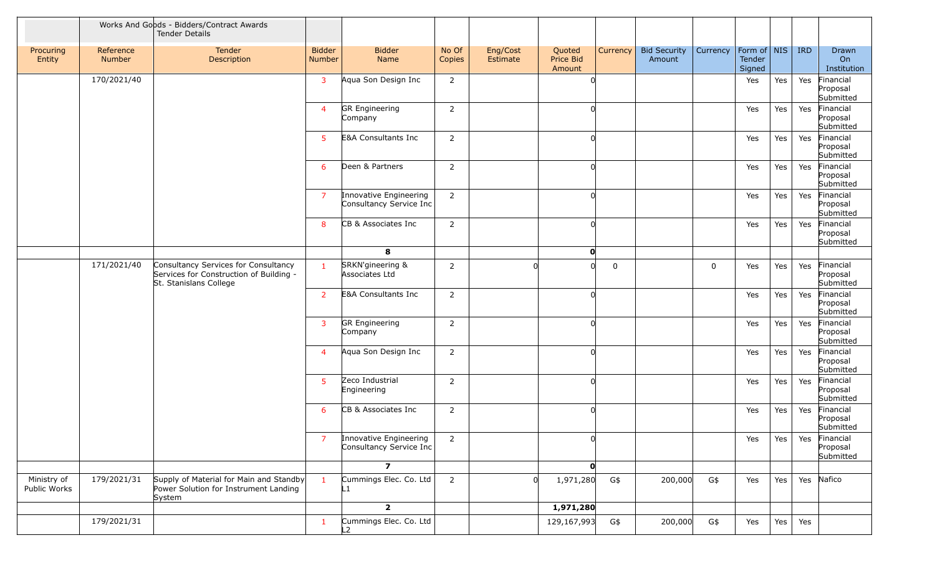|                             |                     | Works And Goods - Bidders/Contract Awards<br><b>Tender Details</b>                                        |                         |                                                   |                 |                      |                               |          |                               |             |                                   |     |            |                                        |
|-----------------------------|---------------------|-----------------------------------------------------------------------------------------------------------|-------------------------|---------------------------------------------------|-----------------|----------------------|-------------------------------|----------|-------------------------------|-------------|-----------------------------------|-----|------------|----------------------------------------|
| Procuring<br>Entity         | Reference<br>Number | Tender<br>Description                                                                                     | <b>Bidder</b><br>Number | <b>Bidder</b><br>Name                             | No Of<br>Copies | Eng/Cost<br>Estimate | Quoted<br>Price Bid<br>Amount | Currency | <b>Bid Security</b><br>Amount | Currency    | Form of   NIS<br>Tender<br>Signed |     | <b>IRD</b> | Drawn<br>On<br>Institution             |
|                             | 170/2021/40         |                                                                                                           | $\mathbf{3}$            | Aqua Son Design Inc                               | $\overline{2}$  |                      | 0l                            |          |                               |             | Yes                               | Yes | Yes        | Financial<br>Proposal<br>Submitted     |
|                             |                     |                                                                                                           | $\overline{4}$          | <b>GR</b> Engineering<br>Company                  | $\overline{2}$  |                      | 0l                            |          |                               |             | Yes                               | Yes | Yes        | Financial<br>Proposal<br>Submitted     |
|                             |                     |                                                                                                           | 5 <sup>1</sup>          | <b>E&amp;A Consultants Inc</b>                    | $\overline{2}$  |                      | $\Omega$                      |          |                               |             | Yes                               | Yes | Yes        | Financial<br>Proposal<br>Submitted     |
|                             |                     |                                                                                                           | 6                       | Deen & Partners                                   | $\overline{2}$  |                      | 0l                            |          |                               |             | Yes                               | Yes | Yes        | Financial<br>Proposal<br>Submitted     |
|                             |                     |                                                                                                           | $\overline{7}$          | Innovative Engineering<br>Consultancy Service Inc | $\overline{2}$  |                      | 0l                            |          |                               |             | Yes                               | Yes | Yes        | Financial<br>Proposal<br>Submitted     |
|                             |                     |                                                                                                           | 8                       | CB & Associates Inc                               | $\overline{2}$  |                      | <sub>0</sub>                  |          |                               |             | Yes                               | Yes | Yes        | Financial<br>Proposal<br>Submitted     |
|                             |                     |                                                                                                           |                         | 8                                                 |                 |                      | $\mathbf{o}$                  |          |                               |             |                                   |     |            |                                        |
|                             | 171/2021/40         | Consultancy Services for Consultancy<br>Services for Construction of Building -<br>St. Stanislans College | $\mathbf{1}$            | SRKN'gineering &<br>Associates Ltd                | $\overline{2}$  |                      | n                             | 0        |                               | $\mathbf 0$ | Yes                               | Yes |            | Yes Financial<br>Proposal<br>Submitted |
|                             |                     |                                                                                                           | 2                       | <b>E&amp;A Consultants Inc</b>                    | $\overline{2}$  |                      | $\Omega$                      |          |                               |             | Yes                               | Yes | Yes        | Financial<br>Proposal<br>Submitted     |
|                             |                     |                                                                                                           | $\mathbf{3}$            | <b>GR</b> Engineering<br>Company                  | $\overline{2}$  |                      | 0l                            |          |                               |             | Yes                               | Yes | Yes        | Financial<br>Proposal<br>Submitted     |
|                             |                     |                                                                                                           | $\overline{4}$          | Aqua Son Design Inc                               | $\overline{2}$  |                      | $\Omega$                      |          |                               |             | Yes                               | Yes | Yes        | Financial<br>Proposal<br>Submitted     |
|                             |                     |                                                                                                           | 5 <sup>1</sup>          | Zeco Industrial<br>Engineering                    | $\overline{2}$  |                      | $\Omega$                      |          |                               |             | Yes                               | Yes | Yes        | Financial<br>Proposal<br>Submitted     |
|                             |                     |                                                                                                           | 6                       | CB & Associates Inc                               | $\overline{2}$  |                      | 0l                            |          |                               |             | Yes                               | Yes | Yes        | Financial<br>Proposal<br>Submitted     |
|                             |                     |                                                                                                           |                         | Innovative Engineering<br>Consultancy Service Inc | $\overline{2}$  |                      |                               |          |                               |             | Yes                               | Yes |            | Yes Financial<br>Proposal<br>Submitted |
|                             |                     |                                                                                                           |                         | $\overline{\mathbf{z}}$                           |                 |                      | $\mathbf{0}$                  |          |                               |             |                                   |     |            |                                        |
| Ministry of<br>Public Works | 179/2021/31         | Supply of Material for Main and Standby<br>Power Solution for Instrument Landing<br>System                |                         | Cummings Elec. Co. Ltd<br>L1                      | $\overline{2}$  |                      | 1,971,280                     | G\$      | 200,000                       | G\$         | Yes                               | Yes |            | Yes Nafico                             |
|                             |                     |                                                                                                           |                         | $\overline{2}$                                    |                 |                      | 1,971,280                     |          |                               |             |                                   |     |            |                                        |
|                             | 179/2021/31         |                                                                                                           | $\mathbf{1}$            | Cummings Elec. Co. Ltd<br>$\overline{2}$          |                 |                      | 129,167,993                   | G\$      | 200,000                       | G\$         | Yes                               | Yes | Yes        |                                        |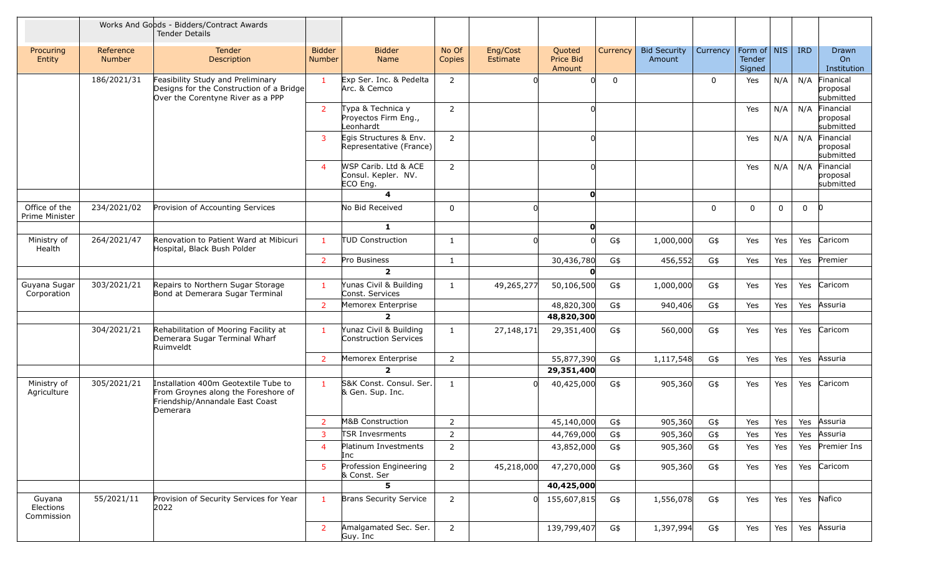|                                   |                            | Works And Goods - Bidders/Contract Awards<br><b>Tender Details</b>                                                         |                                |                                                         |                 |                      |                               |             |                               |             |                                 |             |              |                                        |
|-----------------------------------|----------------------------|----------------------------------------------------------------------------------------------------------------------------|--------------------------------|---------------------------------------------------------|-----------------|----------------------|-------------------------------|-------------|-------------------------------|-------------|---------------------------------|-------------|--------------|----------------------------------------|
| Procuring<br>Entity               | Reference<br><b>Number</b> | <b>Tender</b><br>Description                                                                                               | <b>Bidder</b><br><b>Number</b> | <b>Bidder</b><br>Name                                   | No Of<br>Copies | Eng/Cost<br>Estimate | Quoted<br>Price Bid<br>Amount | Currency    | <b>Bid Security</b><br>Amount | Currency    | Form of NIS<br>Tender<br>Signed |             | <b>IRD</b>   | Drawn<br><b>On</b><br>Institution      |
|                                   | 186/2021/31                | Feasibility Study and Preliminary<br>Designs for the Construction of a Bridge<br>Over the Corentyne River as a PPP         | $\mathbf{1}$                   | Exp Ser. Inc. & Pedelta<br>Arc. & Cemco                 | $\overline{2}$  | U                    | U                             | $\mathbf 0$ |                               | $\mathbf 0$ | Yes                             | N/A         |              | N/A Finanical<br>proposal<br>submitted |
|                                   |                            |                                                                                                                            | $\overline{2}$                 | Typa & Technica y<br>Proyectos Firm Eng.,<br>Leonhardt  | $\overline{2}$  |                      | U                             |             |                               |             | Yes                             | N/A         | N/A          | Financial<br>proposal<br>submitted     |
|                                   |                            |                                                                                                                            | 3                              | Egis Structures & Env.<br>Representative (France)       | $\overline{2}$  |                      | <sub>0</sub>                  |             |                               |             | Yes                             | N/A         |              | N/A Financial<br>proposal<br>submitted |
|                                   |                            |                                                                                                                            | 4                              | WSP Carib. Ltd & ACE<br>Consul. Kepler. NV.<br>ECO Eng. | $\overline{2}$  |                      | <sub>0</sub>                  |             |                               |             | Yes                             | N/A         |              | N/A Financial<br>proposal<br>submitted |
|                                   |                            |                                                                                                                            |                                | $\overline{\mathbf{4}}$                                 |                 |                      | O                             |             |                               |             |                                 |             |              |                                        |
| Office of the<br>Prime Minister   | 234/2021/02                | Provision of Accounting Services                                                                                           |                                | No Bid Received                                         | 0               | U                    |                               |             |                               | 0           | 0                               | $\mathbf 0$ | $\mathbf{0}$ | 0                                      |
|                                   |                            |                                                                                                                            |                                | $\mathbf{1}$                                            |                 |                      | $\mathbf{o}$                  |             |                               |             |                                 |             |              |                                        |
| Ministry of<br>Health             | 264/2021/47                | Renovation to Patient Ward at Mibicuri<br>Hospital, Black Bush Polder                                                      | -1                             | <b>TUD Construction</b>                                 | 1               | ΩI                   |                               | G\$         | 1,000,000                     | G\$         | Yes                             | Yes         | Yes          | Caricom                                |
|                                   |                            |                                                                                                                            | $\overline{2}$                 | Pro Business                                            | $\mathbf{1}$    |                      | 30,436,780                    | G\$         | 456,552                       | G\$         | Yes                             | Yes         | Yes          | Premier                                |
|                                   |                            |                                                                                                                            |                                | $\overline{2}$                                          |                 |                      | 0                             |             |                               |             |                                 |             |              |                                        |
| Guyana Sugar<br>Corporation       | 303/2021/21                | Repairs to Northern Sugar Storage<br>Bond at Demerara Sugar Terminal                                                       | -1                             | Yunas Civil & Building<br>Const. Services               | 1               | 49,265,277           | 50,106,500                    | G\$         | 1,000,000                     | G\$         | Yes                             | Yes         | Yes          | Caricom                                |
|                                   |                            |                                                                                                                            | 2                              | Memorex Enterprise                                      |                 |                      | 48,820,300                    | G\$         | 940,406                       | G\$         | Yes                             | Yes         |              | Yes Assuria                            |
|                                   |                            |                                                                                                                            |                                | $\overline{2}$                                          |                 |                      | 48,820,300                    |             |                               |             |                                 |             |              |                                        |
|                                   | 304/2021/21                | Rehabilitation of Mooring Facility at<br>Demerara Sugar Terminal Wharf<br>Ruimveldt                                        | -1                             | Yunaz Civil & Building<br>Construction Services         | 1               | 27, 148, 171         | 29,351,400                    | G\$         | 560,000                       | G\$         | Yes                             | Yes         |              | Yes Caricom                            |
|                                   |                            |                                                                                                                            | 2                              | Memorex Enterprise                                      | $\overline{2}$  |                      | 55,877,390                    | G\$         | 1,117,548                     | G\$         | Yes                             | Yes         | Yes          | Assuria                                |
|                                   |                            |                                                                                                                            |                                | $\overline{2}$                                          |                 |                      | 29,351,400                    |             |                               |             |                                 |             |              |                                        |
| Ministry of<br>Agriculture        | 305/2021/21                | Installation 400m Geotextile Tube to<br>From Groynes along the Foreshore of<br>Friendship/Annandale East Coast<br>Demerara | $\mathbf{1}$                   | S&K Const. Consul. Ser.<br>& Gen. Sup. Inc.             | 1               | Ωl                   | 40,425,000                    | G\$         | 905,360                       | G\$         | Yes                             | Yes         | Yes          | Caricom                                |
|                                   |                            |                                                                                                                            | $\overline{2}$                 | M&B Construction                                        | $\overline{2}$  |                      | 45,140,000                    | G\$         | 905,360                       | G\$         | Yes                             | Yes         | Yes          | Assuria                                |
|                                   |                            |                                                                                                                            |                                | TSR Invesrments                                         | 2               |                      | 44,769,000                    | G\$         | 905,360                       | G\$         | Yes                             | Yes         |              | Yes Assuria                            |
|                                   |                            |                                                                                                                            | 4                              | Platinum Investments<br>Inc                             | $\overline{2}$  |                      | 43,852,000                    | G\$         | 905,360                       | G\$         | Yes                             | Yes         |              | Yes Premier Ins                        |
|                                   |                            |                                                                                                                            | 5                              | Profession Engineering<br>& Const. Ser                  | $\overline{2}$  | 45,218,000           | 47,270,000                    | G\$         | 905,360                       | G\$         | Yes                             | Yes         |              | Yes Caricom                            |
|                                   |                            |                                                                                                                            |                                | 5                                                       |                 |                      | 40,425,000                    |             |                               |             |                                 |             |              |                                        |
| Guyana<br>Elections<br>Commission | 55/2021/11                 | Provision of Security Services for Year<br>2022                                                                            | $\mathbf{1}$                   | <b>Brans Security Service</b>                           | $\overline{2}$  |                      | $0 \mid 155,607,815$          | G\$         | 1,556,078                     | G\$         | Yes                             | Yes         |              | Yes Nafico                             |
|                                   |                            |                                                                                                                            | $\overline{2}$                 | Amalgamated Sec. Ser.<br>Guy. Inc                       | $\overline{2}$  |                      | 139,799,407                   | G\$         | 1,397,994                     | G\$         | Yes                             | Yes         |              | Yes Assuria                            |